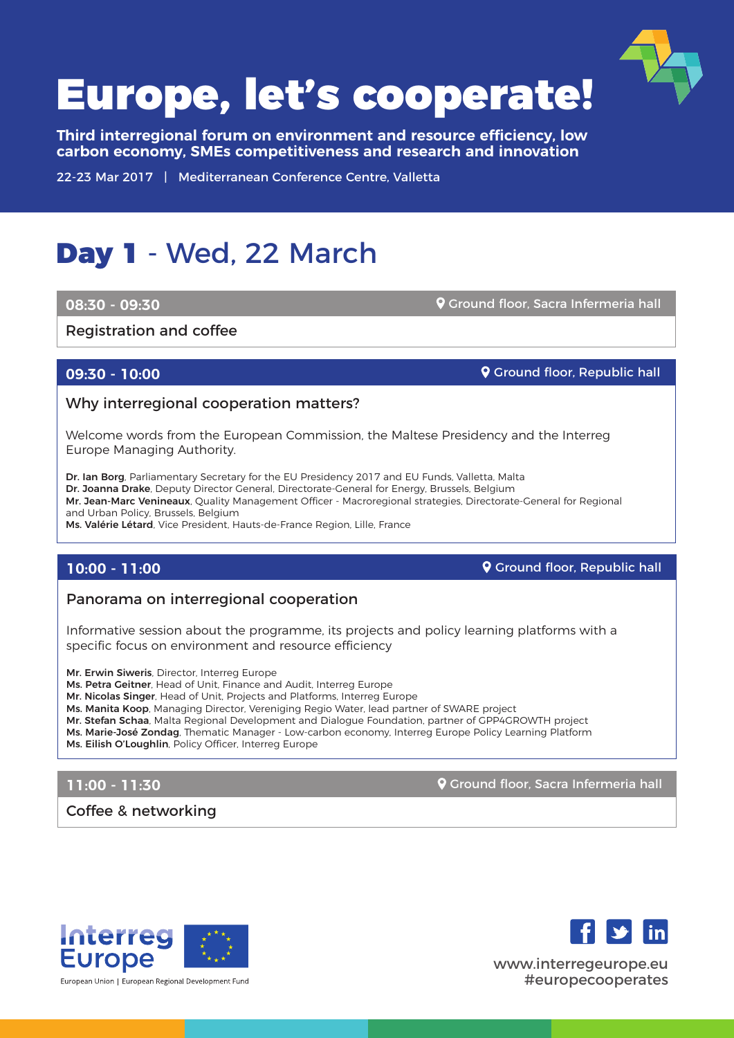

**Third interregional forum on environment and resource efficiency, low carbon economy, SMEs competitiveness and research and innovation**

22-23 Mar 2017 | Mediterranean Conference Centre, Valletta

## Day 1 - Wed, 22 March

#### **08:30 - 09:30**

Ground floor, Sacra Infermeria hall

Registration and coffee

### **09:30 - 10:00**

**Q** Ground floor, Republic hall

#### Why interregional cooperation matters?

Welcome words from the European Commission, the Maltese Presidency and the Interreg Europe Managing Authority.

Dr. Ian Borg, Parliamentary Secretary for the EU Presidency 2017 and EU Funds, Valletta, Malta Dr. Joanna Drake, Deputy Director General, Directorate-General for Energy, Brussels, Belgium Mr. Jean-Marc Venineaux, Quality Management Officer - Macroregional strategies, Directorate-General for Regional and Urban Policy, Brussels, Belgium Ms. Valérie Létard, Vice President, Hauts-de-France Region, Lille, France

### **10:00 - 11:00**

**Q** Ground floor, Republic hall

### Panorama on interregional cooperation

Informative session about the programme, its projects and policy learning platforms with a specific focus on environment and resource efficiency

Mr. Erwin Siweris, Director, Interreg Europe

Ms. Petra Geitner, Head of Unit, Finance and Audit, Interreg Europe

Mr. Nicolas Singer, Head of Unit, Projects and Platforms, Interreg Europe

Ms. Manita Koop, Managing Director, Vereniging Regio Water, lead partner of SWARE project

Mr. Stefan Schaa, Malta Regional Development and Dialogue Foundation, partner of GPP4GROWTH project

Ms. Marie-José Zondag, Thematic Manager - Low-carbon economy, Interreg Europe Policy Learning Platform

Ms. Eilish O'Loughlin, Policy Officer, Interreg Europe

## **11:00 - 11:30**

**Q** Ground floor, Sacra Infermeria hall

Coffee & networking





www.interregeurope.eu #europecooperates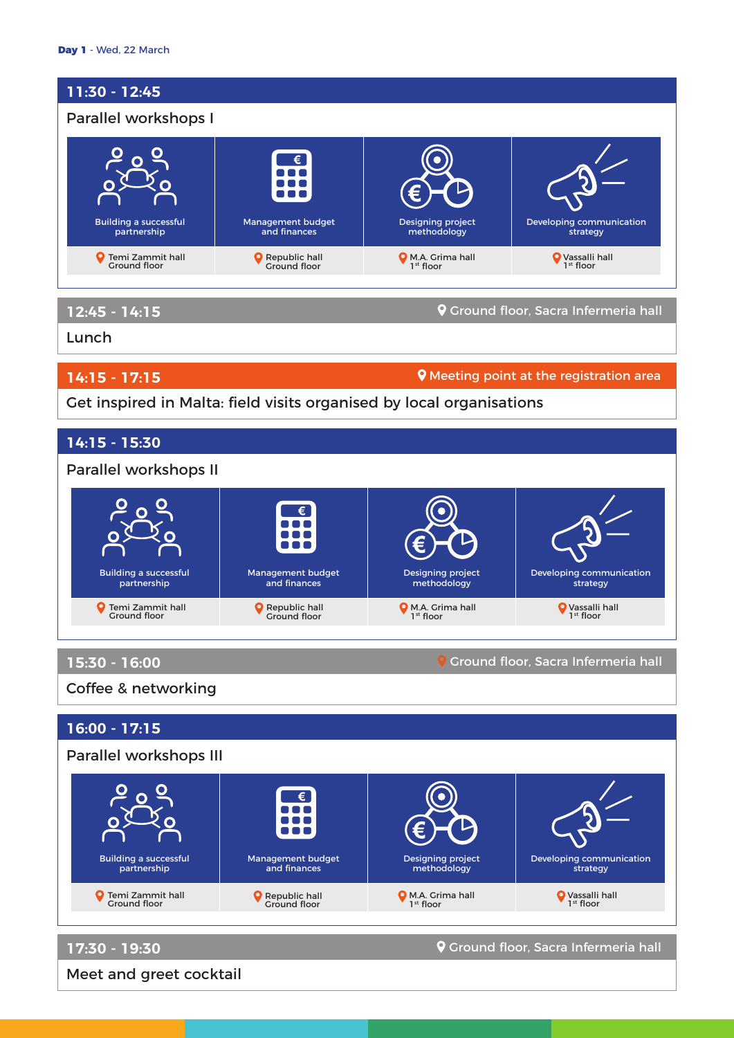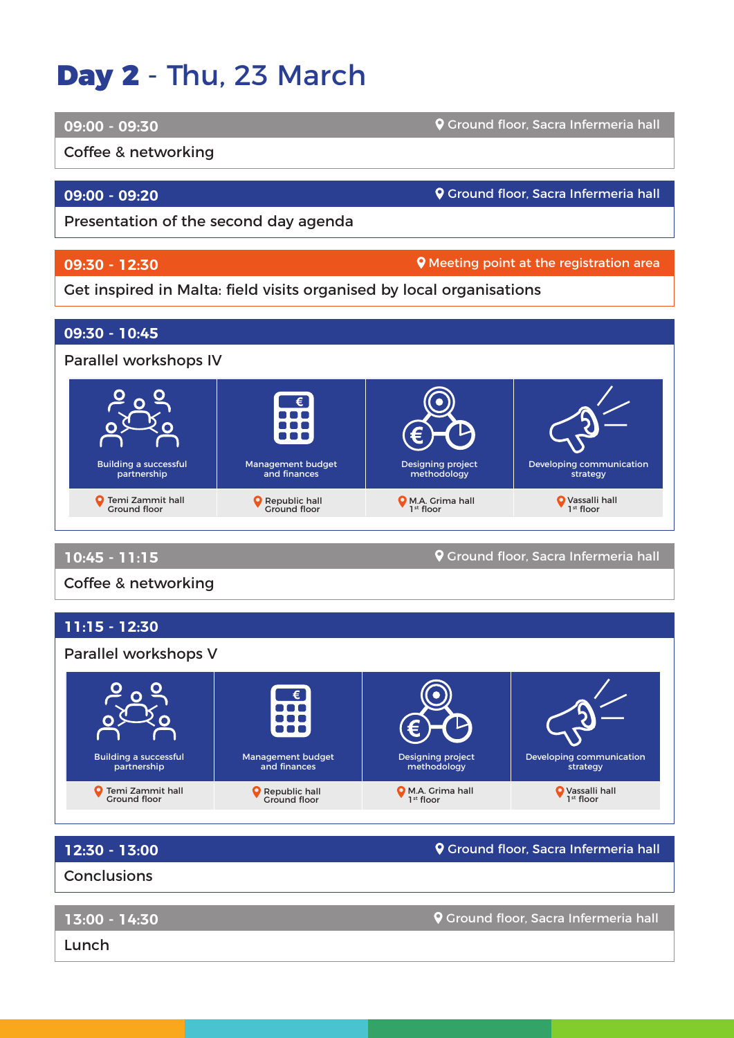# Day 2 - Thu, 23 March

#### **09:00 - 09:30**

Coffee & networking

## **09:00 - 09:20**

Ground floor, Sacra Infermeria hall

Ground floor, Sacra Infermeria hall

Presentation of the second day agenda

## **09:30 - 12:30**

**Q** Meeting point at the registration area

## Get inspired in Malta: field visits organised by local organisations

Management budget and finances

Republic hall Ground floor



Designing project methodology

M.A. Grima hall 1st floor

**12:30 - 13:00**

Building a successful partnership

Temi Zammit hall Ground floor

**9** Ground floor, Sacra Infermeria hall

Developing communication strategy

Vassalli hall 1st floor

**Conclusions** 

**13:00 - 14:30**

Ground floor, Sacra Infermeria hall

Lunch